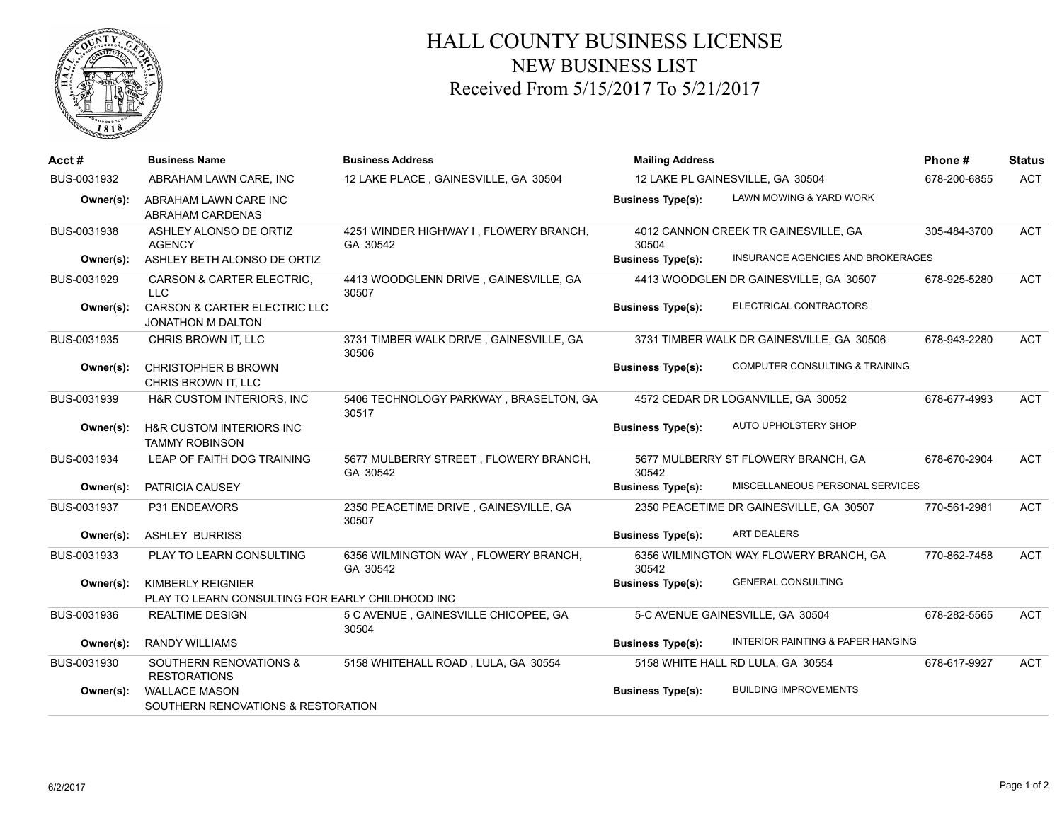

## HALL COUNTY BUSINESS LICENSE NEW BUSINESS LIST Received From 5/15/2017 To 5/21/2017

| Acct#       | <b>Business Name</b>                                                  | <b>Business Address</b>                            | <b>Mailing Address</b>           |                                              | Phone#       | <b>Status</b> |
|-------------|-----------------------------------------------------------------------|----------------------------------------------------|----------------------------------|----------------------------------------------|--------------|---------------|
| BUS-0031932 | ABRAHAM LAWN CARE, INC                                                | 12 LAKE PLACE, GAINESVILLE, GA 30504               | 12 LAKE PL GAINESVILLE, GA 30504 |                                              | 678-200-6855 | <b>ACT</b>    |
| Owner(s):   | ABRAHAM LAWN CARE INC<br><b>ABRAHAM CARDENAS</b>                      |                                                    | <b>Business Type(s):</b>         | LAWN MOWING & YARD WORK                      |              |               |
| BUS-0031938 | ASHLEY ALONSO DE ORTIZ<br><b>AGENCY</b>                               | 4251 WINDER HIGHWAY I, FLOWERY BRANCH,<br>GA 30542 | 30504                            | 4012 CANNON CREEK TR GAINESVILLE, GA         | 305-484-3700 | <b>ACT</b>    |
| Owner(s):   | ASHLEY BETH ALONSO DE ORTIZ                                           |                                                    | <b>Business Type(s):</b>         | INSURANCE AGENCIES AND BROKERAGES            |              |               |
| BUS-0031929 | <b>CARSON &amp; CARTER ELECTRIC.</b><br><b>LLC</b>                    | 4413 WOODGLENN DRIVE, GAINESVILLE, GA<br>30507     |                                  | 4413 WOODGLEN DR GAINESVILLE, GA 30507       | 678-925-5280 | ACT           |
| Owner(s):   | CARSON & CARTER ELECTRIC LLC<br>JONATHON M DALTON                     |                                                    | <b>Business Type(s):</b>         | ELECTRICAL CONTRACTORS                       |              |               |
| BUS-0031935 | CHRIS BROWN IT, LLC                                                   | 3731 TIMBER WALK DRIVE, GAINESVILLE, GA<br>30506   |                                  | 3731 TIMBER WALK DR GAINESVILLE, GA 30506    | 678-943-2280 | <b>ACT</b>    |
| Owner(s):   | <b>CHRISTOPHER B BROWN</b><br>CHRIS BROWN IT. LLC                     |                                                    | <b>Business Type(s):</b>         | COMPUTER CONSULTING & TRAINING               |              |               |
| BUS-0031939 | H&R CUSTOM INTERIORS, INC                                             | 5406 TECHNOLOGY PARKWAY, BRASELTON, GA<br>30517    |                                  | 4572 CEDAR DR LOGANVILLE, GA 30052           | 678-677-4993 | <b>ACT</b>    |
| Owner(s):   | H&R CUSTOM INTERIORS INC<br><b>TAMMY ROBINSON</b>                     |                                                    | <b>Business Type(s):</b>         | AUTO UPHOLSTERY SHOP                         |              |               |
| BUS-0031934 | LEAP OF FAITH DOG TRAINING                                            | 5677 MULBERRY STREET, FLOWERY BRANCH,<br>GA 30542  | 30542                            | 5677 MULBERRY ST FLOWERY BRANCH, GA          | 678-670-2904 | <b>ACT</b>    |
| Owner(s):   | PATRICIA CAUSEY                                                       |                                                    | <b>Business Type(s):</b>         | MISCELLANEOUS PERSONAL SERVICES              |              |               |
| BUS-0031937 | P31 ENDEAVORS                                                         | 2350 PEACETIME DRIVE, GAINESVILLE, GA<br>30507     |                                  | 2350 PEACETIME DR GAINESVILLE, GA 30507      | 770-561-2981 | <b>ACT</b>    |
| Owner(s):   | <b>ASHLEY BURRISS</b>                                                 |                                                    | <b>Business Type(s):</b>         | <b>ART DEALERS</b>                           |              |               |
| BUS-0031933 | PLAY TO LEARN CONSULTING                                              | 6356 WILMINGTON WAY, FLOWERY BRANCH,<br>GA 30542   | 30542                            | 6356 WILMINGTON WAY FLOWERY BRANCH, GA       | 770-862-7458 | <b>ACT</b>    |
| Owner(s):   | KIMBERLY REIGNIER<br>PLAY TO LEARN CONSULTING FOR EARLY CHILDHOOD INC |                                                    | <b>Business Type(s):</b>         | <b>GENERAL CONSULTING</b>                    |              |               |
| BUS-0031936 | <b>REALTIME DESIGN</b>                                                | 5 C AVENUE, GAINESVILLE CHICOPEE, GA<br>30504      |                                  | 5-C AVENUE GAINESVILLE, GA 30504             | 678-282-5565 | <b>ACT</b>    |
| Owner(s):   | <b>RANDY WILLIAMS</b>                                                 |                                                    | <b>Business Type(s):</b>         | <b>INTERIOR PAINTING &amp; PAPER HANGING</b> |              |               |
| BUS-0031930 | <b>SOUTHERN RENOVATIONS &amp;</b><br><b>RESTORATIONS</b>              | 5158 WHITEHALL ROAD, LULA, GA 30554                |                                  | 5158 WHITE HALL RD LULA, GA 30554            | 678-617-9927 | <b>ACT</b>    |
| Owner(s):   | <b>WALLACE MASON</b><br>SOUTHERN RENOVATIONS & RESTORATION            |                                                    | <b>Business Type(s):</b>         | <b>BUILDING IMPROVEMENTS</b>                 |              |               |